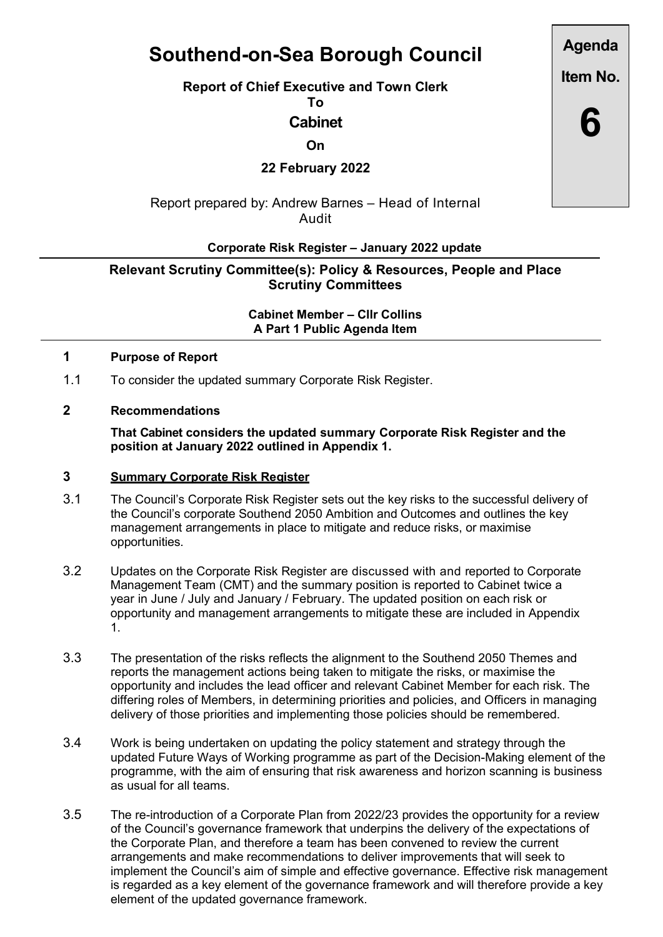# Southend-on-Sea Borough Council

Report of Chief Executive and Town Clerk

To

# Cabinet

**On** 

22 February 2022

Report prepared by: Andrew Barnes – Head of Internal Audit

# Corporate Risk Register – January 2022 update

# Relevant Scrutiny Committee(s): Policy & Resources, People and Place Scrutiny Committees

Cabinet Member – Cllr Collins A Part 1 Public Agenda Item

#### 1 Purpose of Report

1.1 To consider the updated summary Corporate Risk Register.

# 2 Recommendations

That Cabinet considers the updated summary Corporate Risk Register and the position at January 2022 outlined in Appendix 1.

#### 3 Summary Corporate Risk Register

- 3.1 The Council's Corporate Risk Register sets out the key risks to the successful delivery of the Council's corporate Southend 2050 Ambition and Outcomes and outlines the key management arrangements in place to mitigate and reduce risks, or maximise opportunities.
- 3.2 Updates on the Corporate Risk Register are discussed with and reported to Corporate Management Team (CMT) and the summary position is reported to Cabinet twice a year in June / July and January / February. The updated position on each risk or opportunity and management arrangements to mitigate these are included in Appendix 1.
- 3.3 The presentation of the risks reflects the alignment to the Southend 2050 Themes and reports the management actions being taken to mitigate the risks, or maximise the opportunity and includes the lead officer and relevant Cabinet Member for each risk. The differing roles of Members, in determining priorities and policies, and Officers in managing delivery of those priorities and implementing those policies should be remembered.
- 3.4 Work is being undertaken on updating the policy statement and strategy through the updated Future Ways of Working programme as part of the Decision-Making element of the programme, with the aim of ensuring that risk awareness and horizon scanning is business as usual for all teams.
- 3.5 The re-introduction of a Corporate Plan from 2022/23 provides the opportunity for a review of the Council's governance framework that underpins the delivery of the expectations of the Corporate Plan, and therefore a team has been convened to review the current arrangements and make recommendations to deliver improvements that will seek to implement the Council's aim of simple and effective governance. Effective risk management is regarded as a key element of the governance framework and will therefore provide a key element of the updated governance framework.

Agenda

Item No.

6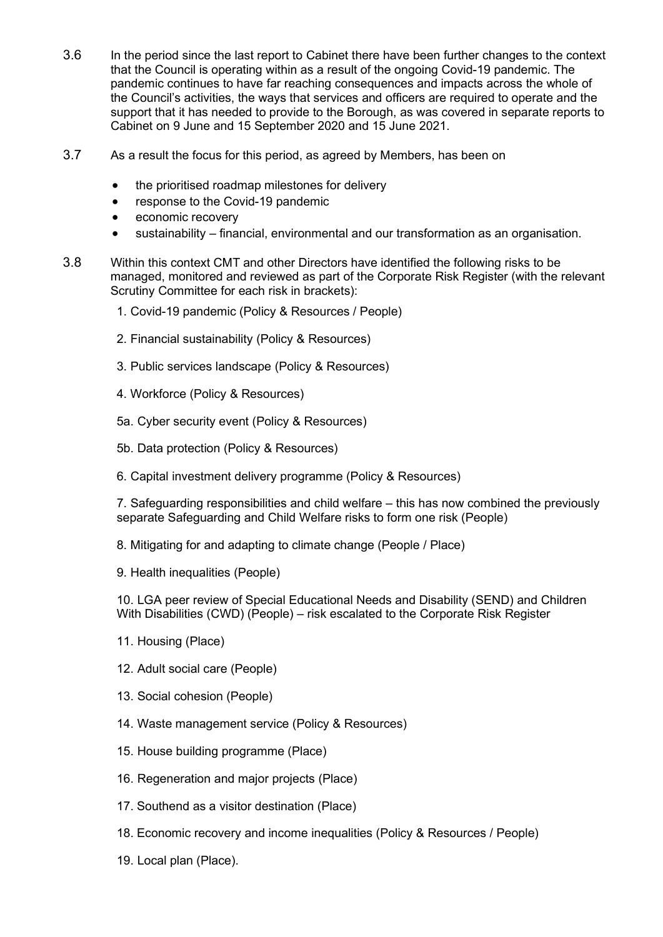- 3.6 In the period since the last report to Cabinet there have been further changes to the context that the Council is operating within as a result of the ongoing Covid-19 pandemic. The pandemic continues to have far reaching consequences and impacts across the whole of the Council's activities, the ways that services and officers are required to operate and the support that it has needed to provide to the Borough, as was covered in separate reports to Cabinet on 9 June and 15 September 2020 and 15 June 2021.
- 3.7 As a result the focus for this period, as agreed by Members, has been on
	- the prioritised roadmap milestones for delivery
	- response to the Covid-19 pandemic
	- economic recovery
	- sustainability financial, environmental and our transformation as an organisation.
- 3.8 Within this context CMT and other Directors have identified the following risks to be managed, monitored and reviewed as part of the Corporate Risk Register (with the relevant Scrutiny Committee for each risk in brackets):
	- 1. Covid-19 pandemic (Policy & Resources / People)
	- 2. Financial sustainability (Policy & Resources)
	- 3. Public services landscape (Policy & Resources)
	- 4. Workforce (Policy & Resources)
	- 5a. Cyber security event (Policy & Resources)
	- 5b. Data protection (Policy & Resources)
	- 6. Capital investment delivery programme (Policy & Resources)

7. Safeguarding responsibilities and child welfare – this has now combined the previously separate Safeguarding and Child Welfare risks to form one risk (People)

- 8. Mitigating for and adapting to climate change (People / Place)
- 9. Health inequalities (People)

10. LGA peer review of Special Educational Needs and Disability (SEND) and Children With Disabilities (CWD) (People) – risk escalated to the Corporate Risk Register

- 11. Housing (Place)
- 12. Adult social care (People)
- 13. Social cohesion (People)
- 14. Waste management service (Policy & Resources)
- 15. House building programme (Place)
- 16. Regeneration and major projects (Place)
- 17. Southend as a visitor destination (Place)
- 18. Economic recovery and income inequalities (Policy & Resources / People)
- 19. Local plan (Place).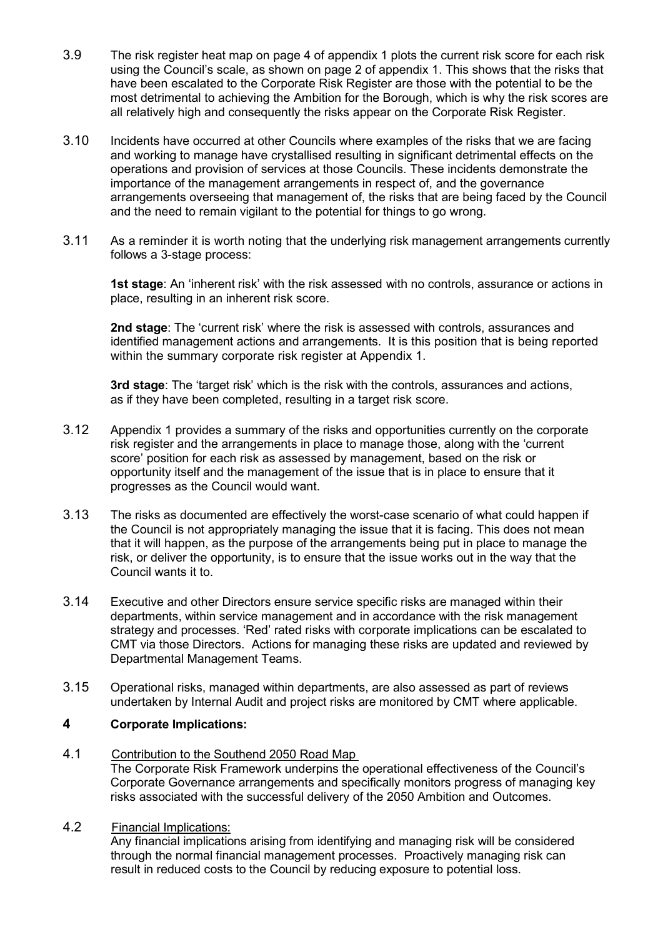- 3.9 The risk register heat map on page 4 of appendix 1 plots the current risk score for each risk using the Council's scale, as shown on page 2 of appendix 1. This shows that the risks that have been escalated to the Corporate Risk Register are those with the potential to be the most detrimental to achieving the Ambition for the Borough, which is why the risk scores are all relatively high and consequently the risks appear on the Corporate Risk Register.
- 3.10 Incidents have occurred at other Councils where examples of the risks that we are facing and working to manage have crystallised resulting in significant detrimental effects on the operations and provision of services at those Councils. These incidents demonstrate the importance of the management arrangements in respect of, and the governance arrangements overseeing that management of, the risks that are being faced by the Council and the need to remain vigilant to the potential for things to go wrong.
- 3.11 As a reminder it is worth noting that the underlying risk management arrangements currently follows a 3-stage process:

1st stage: An 'inherent risk' with the risk assessed with no controls, assurance or actions in place, resulting in an inherent risk score.

2nd stage: The 'current risk' where the risk is assessed with controls, assurances and identified management actions and arrangements. It is this position that is being reported within the summary corporate risk register at Appendix 1.

3rd stage: The 'target risk' which is the risk with the controls, assurances and actions, as if they have been completed, resulting in a target risk score.

- 3.12 Appendix 1 provides a summary of the risks and opportunities currently on the corporate risk register and the arrangements in place to manage those, along with the 'current score' position for each risk as assessed by management, based on the risk or opportunity itself and the management of the issue that is in place to ensure that it progresses as the Council would want.
- 3.13 The risks as documented are effectively the worst-case scenario of what could happen if the Council is not appropriately managing the issue that it is facing. This does not mean that it will happen, as the purpose of the arrangements being put in place to manage the risk, or deliver the opportunity, is to ensure that the issue works out in the way that the Council wants it to.
- 3.14 Executive and other Directors ensure service specific risks are managed within their departments, within service management and in accordance with the risk management strategy and processes. 'Red' rated risks with corporate implications can be escalated to CMT via those Directors. Actions for managing these risks are updated and reviewed by Departmental Management Teams.
- 3.15 Operational risks, managed within departments, are also assessed as part of reviews undertaken by Internal Audit and project risks are monitored by CMT where applicable.

### 4 Corporate Implications:

4.1 Contribution to the Southend 2050 Road Map

The Corporate Risk Framework underpins the operational effectiveness of the Council's Corporate Governance arrangements and specifically monitors progress of managing key risks associated with the successful delivery of the 2050 Ambition and Outcomes.

4.2 Financial Implications:

Any financial implications arising from identifying and managing risk will be considered through the normal financial management processes. Proactively managing risk can result in reduced costs to the Council by reducing exposure to potential loss.